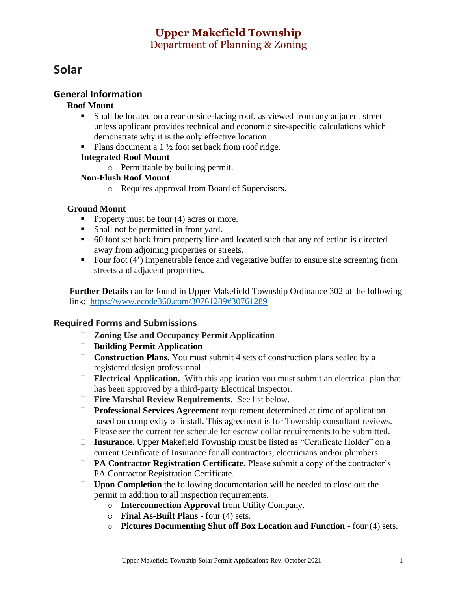# **Upper Makefield Township**  Department of Planning & Zoning

# **Solar**

## **General Information**

#### **Roof Mount**

- Shall be located on a rear or side-facing roof, as viewed from any adjacent street unless applicant provides technical and economic site-specific calculations which demonstrate why it is the only effective location.
- Plans document a  $1\frac{1}{2}$  foot set back from roof ridge.

#### **Integrated Roof Mount**

o Permittable by building permit.

#### **Non-Flush Roof Mount**

o Requires approval from Board of Supervisors.

#### **Ground Mount**

- Property must be four (4) acres or more.
- Shall not be permitted in front yard.
- 60 foot set back from property line and located such that any reflection is directed away from adjoining properties or streets.
- $\blacksquare$  Four foot (4') impenetrable fence and vegetative buffer to ensure site screening from streets and adjacent properties.

**Further Details** can be found in Upper Makefield Township Ordinance 302 at the following link: https://www.ecode360.com/30761289#30761289

#### **Required Forms and Submissions**

- **Zoning Use and Occupancy Permit Application**
- **Building Permit Application**
- □ **Construction Plans.** You must submit 4 sets of construction plans sealed by a registered design professional.
- **Electrical Application.** With this application you must submit an electrical plan that has been approved by a third-party Electrical Inspector.
- **Fire Marshal Review Requirements.** See list below.
- **Professional Services Agreement** requirement determined at time of application based on complexity of install. This agreement is for Township consultant reviews. Please see the current fee schedule for escrow dollar requirements to be submitted.
- □ **Insurance.** Upper Makefield Township must be listed as "Certificate Holder" on a current Certificate of Insurance for all contractors, electricians and/or plumbers.
- **PA Contractor Registration Certificate.** Please submit a copy of the contractor's PA Contractor Registration Certificate.
- □ Upon Completion the following documentation will be needed to close out the permit in addition to all inspection requirements.
	- o **Interconnection Approval** from Utility Company.
	- o **Final As-Built Plans** four (4) sets.
	- o **Pictures Documenting Shut off Box Location and Function** four (4) sets.